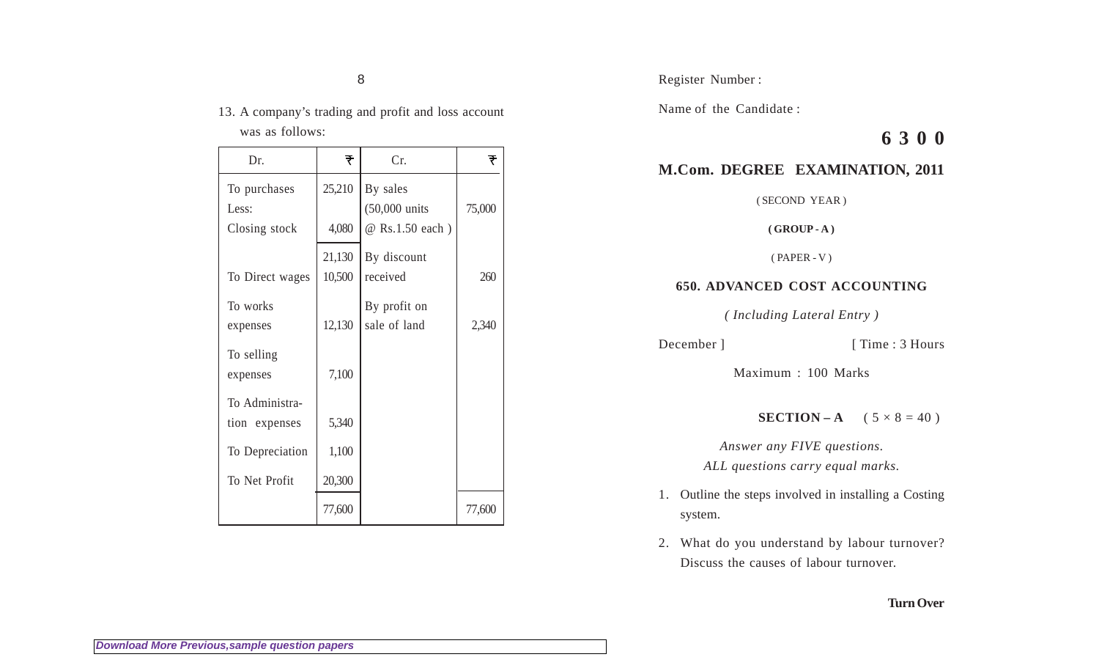8

13. A company's trading and profit and loss account was as follows:

| Dr.                                    | ₹                | Cr.                                                     | ₹      |
|----------------------------------------|------------------|---------------------------------------------------------|--------|
| To purchases<br>Less:<br>Closing stock | 25,210<br>4,080  | By sales<br>$(50,000 \text{ units})$<br>@ Rs.1.50 each) | 75,000 |
| To Direct wages                        | 21,130<br>10,500 | By discount<br>received                                 | 260    |
| To works<br>expenses                   | 12,130           | By profit on<br>sale of land                            | 2,340  |
| To selling<br>expenses                 | 7,100            |                                                         |        |
| To Administra-<br>tion expenses        | 5,340            |                                                         |        |
| To Depreciation<br>To Net Profit       | 1,100<br>20,300  |                                                         |        |
|                                        | 77,600           |                                                         | 77,600 |

Register Number :

Name of the Candidate :

# **6 3 0 0**

## **M.Com. DEGREE EXAMINATION, 2011**

( SECOND YEAR )

**( GROUP - A )**

( PAPER - V )

### **650. ADVANCED COST ACCOUNTING**

*( Including Lateral Entry )*

```
December ] [ Time : 3 Hours
```
Maximum : 100 Marks

**SECTION – A**  $(5 \times 8 = 40)$ 

*Answer any FIVE questions. ALL questions carry equal marks.*

- 1. Outline the steps involved in installing a Costing system.
- 2. What do you understand by labour turnover? Discuss the causes of labour turnover.

### **Turn Over**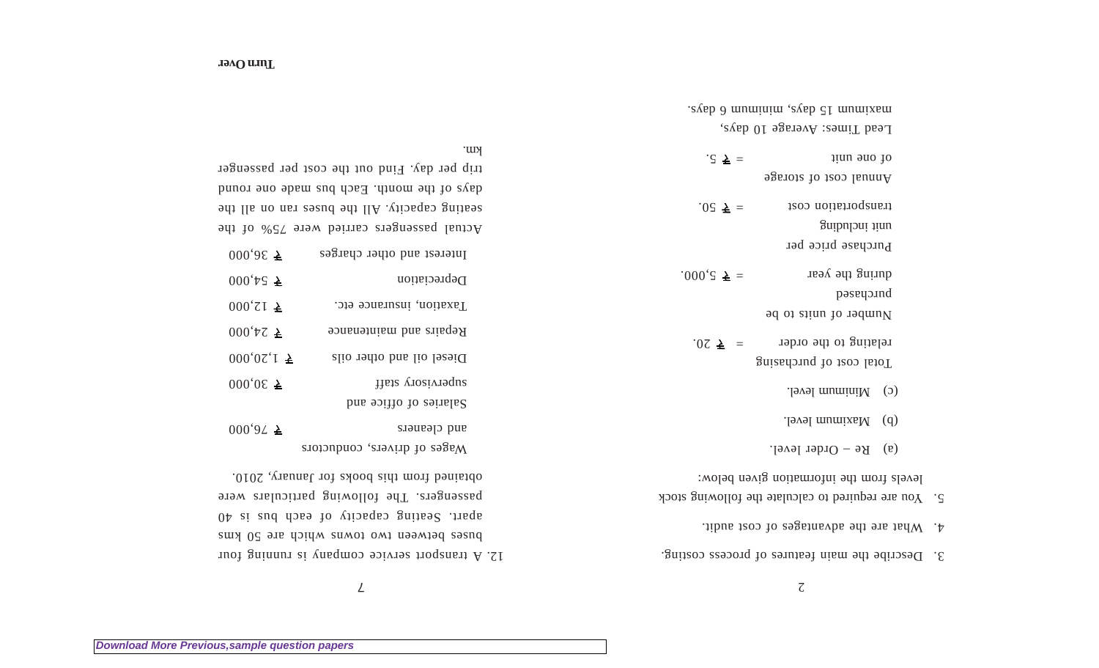12. A transport service company is running four

 $\mathcal{L}$ 

 $\zeta$ 

3. Describe the main features of process costing.

|                                                                                             |                                                                                       | . avainum 15 days, mumimu 6 days.                    |  |
|---------------------------------------------------------------------------------------------|---------------------------------------------------------------------------------------|------------------------------------------------------|--|
|                                                                                             |                                                                                       | Lead Times: Average 10 days,                         |  |
|                                                                                             | Km.                                                                                   | $.5 \times =$<br>qiun auo jo                         |  |
| trip per day. Find out the cost per passenger<br>days of the month. Each bus made one round |                                                                                       | Annual cost of storage                               |  |
| seating capacity. All the buses ran on all the                                              |                                                                                       | tansportation cost<br>.02 $\bar{\tau}$ =             |  |
| Actual passengers carried were 75% of the                                                   |                                                                                       | gnibuloni tinu                                       |  |
| $000, 005$ $\bar{\tau}$                                                                     | Interest and other charges                                                            | Purchase price per                                   |  |
| $000 \text{ Hz}$ $\geq$                                                                     | Depreciation                                                                          | during the year<br>$.000, \xi \bar{\xi} =$           |  |
| $000^{\circ}$ ZI $\triangleq$                                                               | Taxation, insurance etc.                                                              | pəsvuə nd                                            |  |
|                                                                                             |                                                                                       | Number of units to be                                |  |
| $000^{\circ}$ tZ $\geq$                                                                     | Repairs and maintenance                                                               | relating to the order<br>$.02 \pm 0.00$              |  |
| $000,02,1 \space \nbrace{\mathsf{F}}$                                                       | Diesel oil and other oils                                                             | Total cost of purchasing                             |  |
| $000,05 \geq$                                                                               | Thata viosivisque<br>Salaries of office and                                           | $(0)$ Minimum level.                                 |  |
| $000,92 \geq$                                                                               | and cleaners                                                                          | $\text{G}$ Maximum level.                            |  |
|                                                                                             | Wages of drivers, conductors                                                          | (a) $Re - Ord$ level.                                |  |
|                                                                                             | obtained from this books for January, 2010.                                           | levels from the information given below:             |  |
|                                                                                             | passengers. The following particulars were                                            | 5. You are required to calculate the following stock |  |
|                                                                                             | 04 si sud dose to viiosquo guitsel .traqu<br>buses between two towns which are 50 kms | 4. What are the advantages of cost audit.            |  |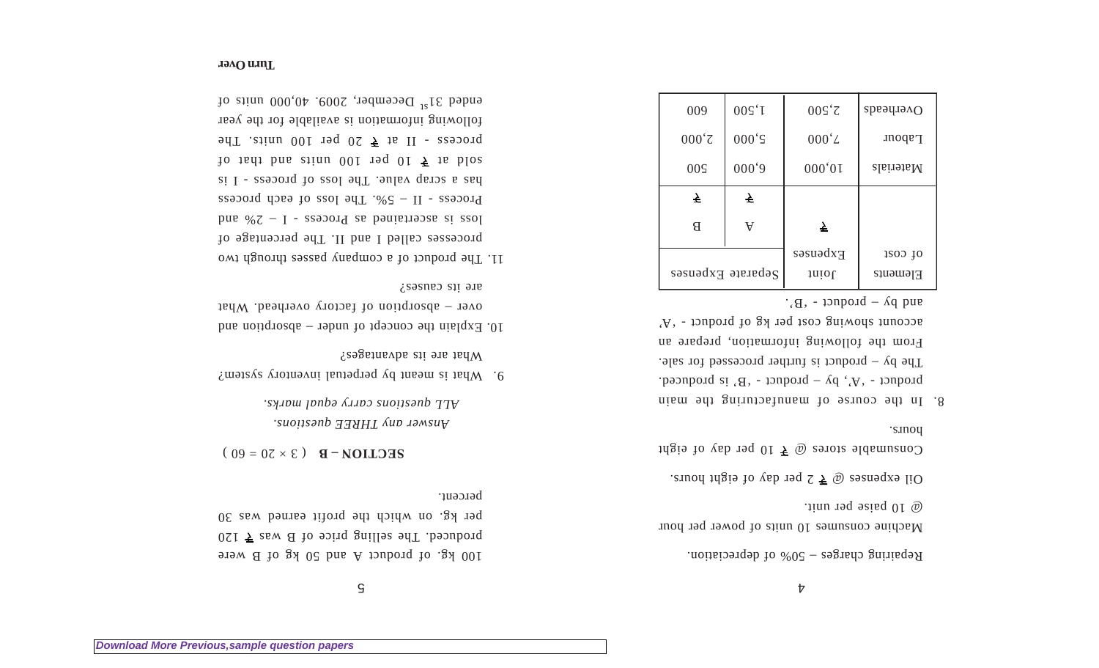$\mathsf S$ 

100 kg. of product A and 50 kg of B were produced. The selling price of B was  $\overline{7}$  l20 per kg. on which the profit earned was 30 percent.

 $\mathbf{S} = \begin{bmatrix} 0 & 0 \\ 0 & 0 \end{bmatrix}$  **SECTION – B** 

*Answer any THREE questions. ALL questions carry equal marks.*

- 9. What is meant by perpetual inventory system? What are its advantages?
- 10. Explain the concept of under  $-$  absorption and over – absorption of factory overhead. What are its causes?
- 11. The product of a company passes through two processes called I and II. The percentage of loss is ascertained as Process - I – 2% and Process - II –  $2\%$  - The loss of each process has a scrap value. The loss of process - I is 10 is the number of 100 units and that of 100 up to 160 up to 160 up to 160 up to 160 up to 160 up to 160 up to 160 up to 160 up to 160 up to 160 up to 160 up to 160 up to 160 up to 160 up to 160 up to 160 up to 160 up to  $20$  process - II at  $\frac{1}{2}$  be proper interfollowing information is available for the year ended  $31^{81}$  December, 2009. 40,000 units of

Repairing charges – 50% of depreciation.

Machine consumes 10 units of power per hour @ 10 paise per unit.

2 per day of  $\bar{z} \neq 0$  per day of eight hours.

Consumable stores  $\omega \geq 10$  per day of eight hours.

8. In the course of manufacturing the main product - 'A', by – product - 'B' is produced. The by – product is further processed for sale. From the following information, prepare an account showing cost per kg of product - 'A'  $\cdot$  (B) – product - 'B'.

| 009               | 00S <sup>1</sup> | $00\zeta^2$     | Overheads |
|-------------------|------------------|-----------------|-----------|
| $000^{\circ}$     | $000 \text{'s}$  | $000^{\circ}$ L | Labour    |
| 00 <sup>5</sup>   | 000,9            | 000'01          | Materials |
| ₹                 | 소                |                 |           |
| Я                 | $\forall$        | 소               |           |
|                   |                  | $F_x$ penses    | 1800 JO   |
| Separate Expenses |                  | Juiol           | Elements  |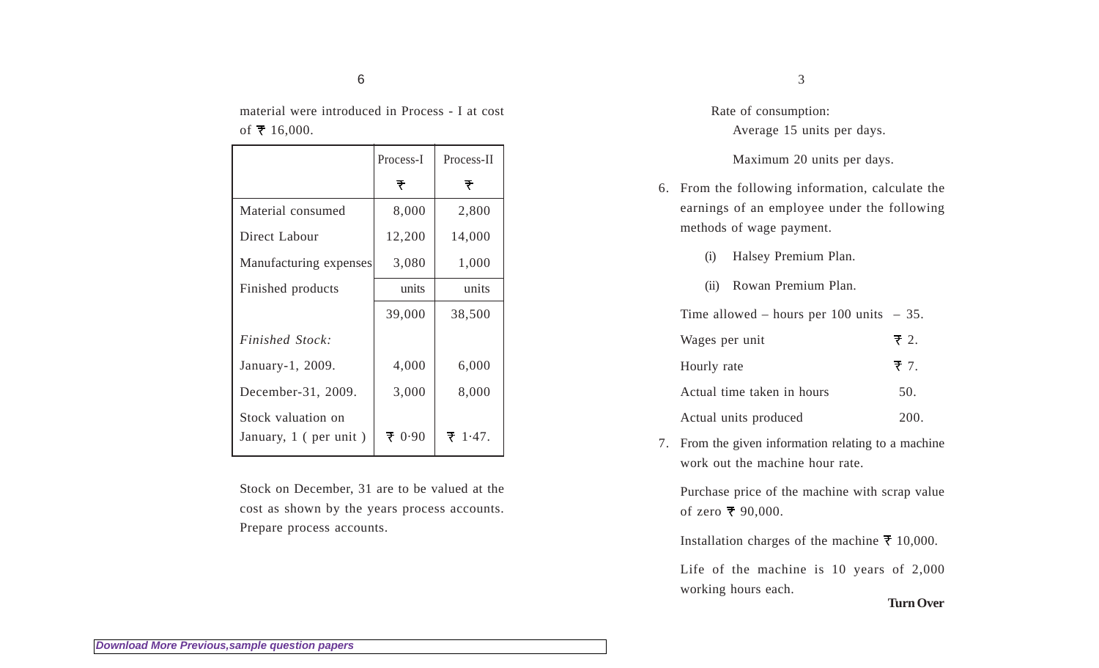material were introduced in Process - I at cost of  $\bar{x}$  16,000.

|                                             | Process-I | Process-II      |
|---------------------------------------------|-----------|-----------------|
|                                             | ₹         | ₹               |
| Material consumed                           | 8,000     | 2,800           |
| Direct Labour                               | 12,200    | 14,000          |
| Manufacturing expenses                      | 3,080     | 1,000           |
| Finished products                           | units     | units           |
|                                             | 39,000    | 38,500          |
| <i>Finished Stock:</i>                      |           |                 |
| January-1, 2009.                            | 4,000     | 6,000           |
| December-31, 2009.                          | 3,000     | 8,000           |
| Stock valuation on<br>January, 1 (per unit) | 70.90     | $\bar{z}$ 1.47. |

Stock on December, 31 are to be valued at the cost as shown by the years process accounts. Prepare process accounts.

Rate of consumption: Average 15 units per days.

#### Maximum 20 units per days.

- 6. From the following information, calculate the earnings of an employee under the following methods of wage payment.
	- (i) Halsey Premium Plan.
	- (ii) Rowan Premium Plan.

Time allowed – hours per 100 units – 35.

| Wages per unit             | $\overline{z}$ 2. |
|----------------------------|-------------------|
| Hourly rate                | ₹ 7.              |
| Actual time taken in hours | 50.               |
| Actual units produced      | 200.              |

7. From the given information relating to a machine work out the machine hour rate.

Purchase price of the machine with scrap value of zero  $\bar{x}$  90,000.

Installation charges of the machine  $\bar{x}$  10,000.

Life of the machine is 10 years of 2,000 working hours each.

**Turn Over**